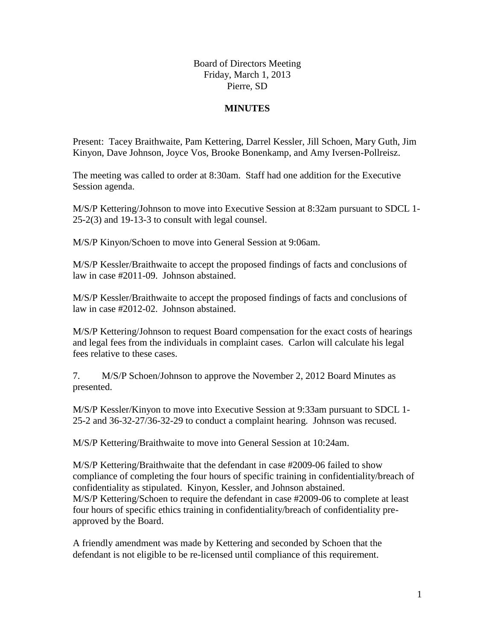## Board of Directors Meeting Friday, March 1, 2013 Pierre, SD

## **MINUTES**

Present: Tacey Braithwaite, Pam Kettering, Darrel Kessler, Jill Schoen, Mary Guth, Jim Kinyon, Dave Johnson, Joyce Vos, Brooke Bonenkamp, and Amy Iversen-Pollreisz.

The meeting was called to order at 8:30am. Staff had one addition for the Executive Session agenda.

M/S/P Kettering/Johnson to move into Executive Session at 8:32am pursuant to SDCL 1- 25-2(3) and 19-13-3 to consult with legal counsel.

M/S/P Kinyon/Schoen to move into General Session at 9:06am.

M/S/P Kessler/Braithwaite to accept the proposed findings of facts and conclusions of law in case #2011-09. Johnson abstained.

M/S/P Kessler/Braithwaite to accept the proposed findings of facts and conclusions of law in case #2012-02. Johnson abstained.

M/S/P Kettering/Johnson to request Board compensation for the exact costs of hearings and legal fees from the individuals in complaint cases. Carlon will calculate his legal fees relative to these cases.

7. M/S/P Schoen/Johnson to approve the November 2, 2012 Board Minutes as presented.

M/S/P Kessler/Kinyon to move into Executive Session at 9:33am pursuant to SDCL 1- 25-2 and 36-32-27/36-32-29 to conduct a complaint hearing. Johnson was recused.

M/S/P Kettering/Braithwaite to move into General Session at 10:24am.

M/S/P Kettering/Braithwaite that the defendant in case #2009-06 failed to show compliance of completing the four hours of specific training in confidentiality/breach of confidentiality as stipulated. Kinyon, Kessler, and Johnson abstained. M/S/P Kettering/Schoen to require the defendant in case #2009-06 to complete at least four hours of specific ethics training in confidentiality/breach of confidentiality preapproved by the Board.

A friendly amendment was made by Kettering and seconded by Schoen that the defendant is not eligible to be re-licensed until compliance of this requirement.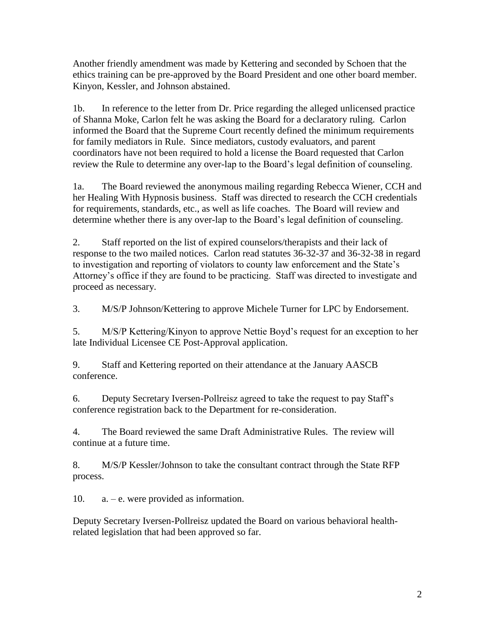Another friendly amendment was made by Kettering and seconded by Schoen that the ethics training can be pre-approved by the Board President and one other board member. Kinyon, Kessler, and Johnson abstained.

1b. In reference to the letter from Dr. Price regarding the alleged unlicensed practice of Shanna Moke, Carlon felt he was asking the Board for a declaratory ruling. Carlon informed the Board that the Supreme Court recently defined the minimum requirements for family mediators in Rule. Since mediators, custody evaluators, and parent coordinators have not been required to hold a license the Board requested that Carlon review the Rule to determine any over-lap to the Board's legal definition of counseling.

1a. The Board reviewed the anonymous mailing regarding Rebecca Wiener, CCH and her Healing With Hypnosis business. Staff was directed to research the CCH credentials for requirements, standards, etc., as well as life coaches. The Board will review and determine whether there is any over-lap to the Board's legal definition of counseling.

2. Staff reported on the list of expired counselors/therapists and their lack of response to the two mailed notices. Carlon read statutes 36-32-37 and 36-32-38 in regard to investigation and reporting of violators to county law enforcement and the State's Attorney's office if they are found to be practicing. Staff was directed to investigate and proceed as necessary.

3. M/S/P Johnson/Kettering to approve Michele Turner for LPC by Endorsement.

5. M/S/P Kettering/Kinyon to approve Nettie Boyd's request for an exception to her late Individual Licensee CE Post-Approval application.

9. Staff and Kettering reported on their attendance at the January AASCB conference.

6. Deputy Secretary Iversen-Pollreisz agreed to take the request to pay Staff's conference registration back to the Department for re-consideration.

4. The Board reviewed the same Draft Administrative Rules. The review will continue at a future time.

8. M/S/P Kessler/Johnson to take the consultant contract through the State RFP process.

10. a. – e. were provided as information.

Deputy Secretary Iversen-Pollreisz updated the Board on various behavioral healthrelated legislation that had been approved so far.